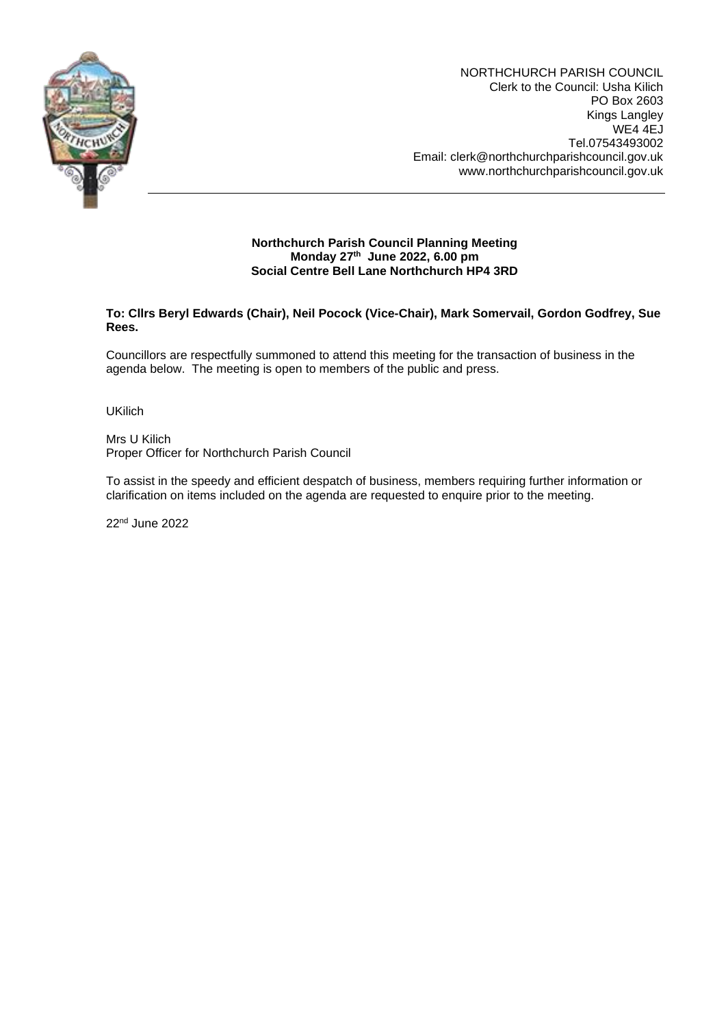

NORTHCHURCH PARISH COUNCIL Clerk to the Council: Usha Kilich PO Box 2603 Kings Langley WE4 4EJ Tel.07543493002 Email: clerk@northchurchparishcouncil.gov.uk www.northchurchparishcouncil.gov.uk

# **Northchurch Parish Council Planning Meeting Monday 27th June 2022, 6.00 pm Social Centre Bell Lane Northchurch HP4 3RD**

**To: Cllrs Beryl Edwards (Chair), Neil Pocock (Vice-Chair), Mark Somervail, Gordon Godfrey, Sue Rees.**

Councillors are respectfully summoned to attend this meeting for the transaction of business in the agenda below. The meeting is open to members of the public and press.

UKilich

Mrs U Kilich Proper Officer for Northchurch Parish Council

To assist in the speedy and efficient despatch of business, members requiring further information or clarification on items included on the agenda are requested to enquire prior to the meeting.

22nd June 2022